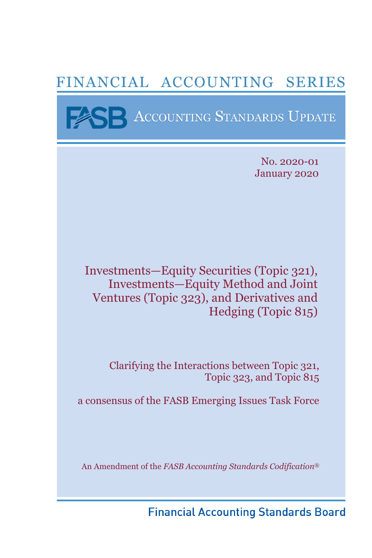# FINANCIAL ACCOUNTING SERIES

**BE ACCOUNTING STANDARDS UPDATE** 

No. 2020-01 January 2020

Investments—Equity Securities (Topic 321), Investments—Equity Method and Joint Ventures (Topic 323), and Derivatives and Hedging (Topic 815)

> Clarifying the Interactions between Topic 321, Topic 323, and Topic 815

a consensus of the FASB Emerging Issues Task Force

An Amendment of the *FASB Accounting Standards Codification*®

**Financial Accounting Standards Board**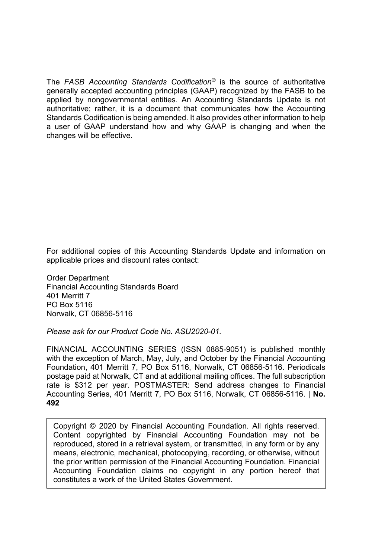The *FASB Accounting Standards Codification®* is the source of authoritative generally accepted accounting principles (GAAP) recognized by the FASB to be applied by nongovernmental entities. An Accounting Standards Update is not authoritative; rather, it is a document that communicates how the Accounting Standards Codification is being amended. It also provides other information to help a user of GAAP understand how and why GAAP is changing and when the changes will be effective.

For additional copies of this Accounting Standards Update and information on applicable prices and discount rates contact:

Order Department Financial Accounting Standards Board 401 Merritt 7 PO Box 5116 Norwalk, CT 06856-5116

*Please ask for our Product Code No. ASU2020-01.* 

FINANCIAL ACCOUNTING SERIES (ISSN 0885-9051) is published monthly with the exception of March, May, July, and October by the Financial Accounting Foundation, 401 Merritt 7, PO Box 5116, Norwalk, CT 06856-5116. Periodicals postage paid at Norwalk, CT and at additional mailing offices. The full subscription rate is \$312 per year. POSTMASTER: Send address changes to Financial Accounting Series, 401 Merritt 7, PO Box 5116, Norwalk, CT 06856-5116. | **No. 492**

Copyright © 2020 by Financial Accounting Foundation. All rights reserved. Content copyrighted by Financial Accounting Foundation may not be reproduced, stored in a retrieval system, or transmitted, in any form or by any means, electronic, mechanical, photocopying, recording, or otherwise, without the prior written permission of the Financial Accounting Foundation. Financial Accounting Foundation claims no copyright in any portion hereof that constitutes a work of the United States Government.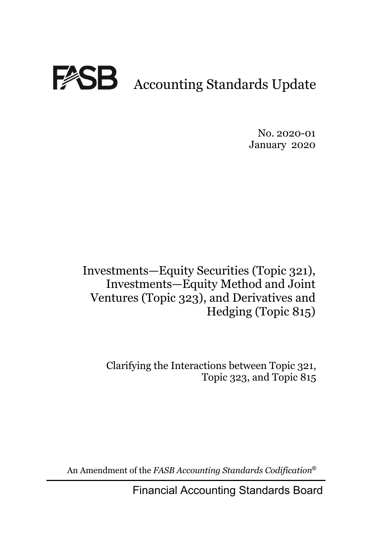

No. 2020-01 January 2020

Investments—Equity Securities (Topic 321), Investments—Equity Method and Joint Ventures (Topic 323), and Derivatives and Hedging (Topic 815)

> Clarifying the Interactions between Topic 321, Topic 323, and Topic 815

An Amendment of the *FASB Accounting Standards Codification*®

Financial Accounting Standards Board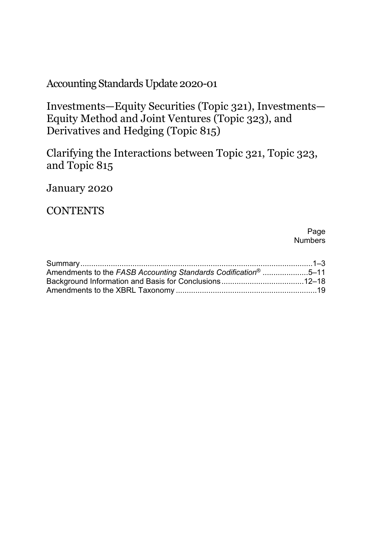Accounting Standards Update 2020-01

Investments—Equity Securities (Topic 321), Investments— Equity Method and Joint Ventures (Topic 323), and Derivatives and Hedging (Topic 815)

Clarifying the Interactions between Topic 321, Topic 323, and Topic 815

January 2020

**CONTENTS** 

Page Numbers

| Amendments to the FASB Accounting Standards Codification <sup>®</sup> 5–11 |
|----------------------------------------------------------------------------|
|                                                                            |
|                                                                            |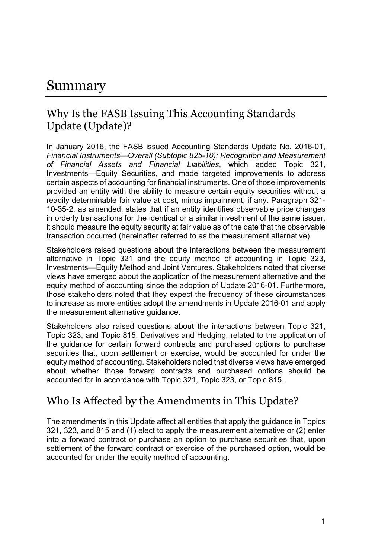# Summary

### Why Is the FASB Issuing This Accounting Standards Update (Update)?

In January 2016, the FASB issued Accounting Standards Update No. 2016-01, *Financial Instruments—Overall (Subtopic 825-10): Recognition and Measurement of Financial Assets and Financial Liabilities*, which added Topic 321, Investments—Equity Securities, and made targeted improvements to address certain aspects of accounting for financial instruments. One of those improvements provided an entity with the ability to measure certain equity securities without a readily determinable fair value at cost, minus impairment, if any. Paragraph 321- 10-35-2, as amended, states that if an entity identifies observable price changes in orderly transactions for the identical or a similar investment of the same issuer, it should measure the equity security at fair value as of the date that the observable transaction occurred (hereinafter referred to as the measurement alternative).

Stakeholders raised questions about the interactions between the measurement alternative in Topic 321 and the equity method of accounting in Topic 323, Investments—Equity Method and Joint Ventures. Stakeholders noted that diverse views have emerged about the application of the measurement alternative and the equity method of accounting since the adoption of Update 2016-01. Furthermore, those stakeholders noted that they expect the frequency of these circumstances to increase as more entities adopt the amendments in Update 2016-01 and apply the measurement alternative guidance.

Stakeholders also raised questions about the interactions between Topic 321, Topic 323, and Topic 815, Derivatives and Hedging, related to the application of the guidance for certain forward contracts and purchased options to purchase securities that, upon settlement or exercise, would be accounted for under the equity method of accounting. Stakeholders noted that diverse views have emerged about whether those forward contracts and purchased options should be accounted for in accordance with Topic 321, Topic 323, or Topic 815.

### Who Is Affected by the Amendments in This Update?

The amendments in this Update affect all entities that apply the guidance in Topics 321, 323, and 815 and (1) elect to apply the measurement alternative or (2) enter into a forward contract or purchase an option to purchase securities that, upon settlement of the forward contract or exercise of the purchased option, would be accounted for under the equity method of accounting.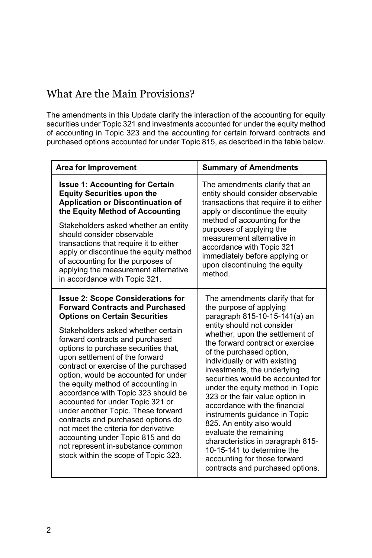# What Are the Main Provisions?

The amendments in this Update clarify the interaction of the accounting for equity securities under Topic 321 and investments accounted for under the equity method of accounting in Topic 323 and the accounting for certain forward contracts and purchased options accounted for under Topic 815, as described in the table below.

| <b>Area for Improvement</b>                                                                                                                                                                                                                                                                                                                                                                                                                                                                                                                                                                                                                                                                                           | <b>Summary of Amendments</b>                                                                                                                                                                                                                                                                                                                                                                                                                                                                                                                                                                                                                                             |  |
|-----------------------------------------------------------------------------------------------------------------------------------------------------------------------------------------------------------------------------------------------------------------------------------------------------------------------------------------------------------------------------------------------------------------------------------------------------------------------------------------------------------------------------------------------------------------------------------------------------------------------------------------------------------------------------------------------------------------------|--------------------------------------------------------------------------------------------------------------------------------------------------------------------------------------------------------------------------------------------------------------------------------------------------------------------------------------------------------------------------------------------------------------------------------------------------------------------------------------------------------------------------------------------------------------------------------------------------------------------------------------------------------------------------|--|
| <b>Issue 1: Accounting for Certain</b><br><b>Equity Securities upon the</b><br><b>Application or Discontinuation of</b><br>the Equity Method of Accounting<br>Stakeholders asked whether an entity<br>should consider observable<br>transactions that require it to either<br>apply or discontinue the equity method<br>of accounting for the purposes of<br>applying the measurement alternative<br>in accordance with Topic 321.                                                                                                                                                                                                                                                                                    | The amendments clarify that an<br>entity should consider observable<br>transactions that require it to either<br>apply or discontinue the equity<br>method of accounting for the<br>purposes of applying the<br>measurement alternative in<br>accordance with Topic 321<br>immediately before applying or<br>upon discontinuing the equity<br>method.                                                                                                                                                                                                                                                                                                                    |  |
| <b>Issue 2: Scope Considerations for</b><br><b>Forward Contracts and Purchased</b><br><b>Options on Certain Securities</b><br>Stakeholders asked whether certain<br>forward contracts and purchased<br>options to purchase securities that,<br>upon settlement of the forward<br>contract or exercise of the purchased<br>option, would be accounted for under<br>the equity method of accounting in<br>accordance with Topic 323 should be<br>accounted for under Topic 321 or<br>under another Topic. These forward<br>contracts and purchased options do<br>not meet the criteria for derivative<br>accounting under Topic 815 and do<br>not represent in-substance common<br>stock within the scope of Topic 323. | The amendments clarify that for<br>the purpose of applying<br>paragraph 815-10-15-141(a) an<br>entity should not consider<br>whether, upon the settlement of<br>the forward contract or exercise<br>of the purchased option,<br>individually or with existing<br>investments, the underlying<br>securities would be accounted for<br>under the equity method in Topic<br>323 or the fair value option in<br>accordance with the financial<br>instruments guidance in Topic<br>825. An entity also would<br>evaluate the remaining<br>characteristics in paragraph 815-<br>10-15-141 to determine the<br>accounting for those forward<br>contracts and purchased options. |  |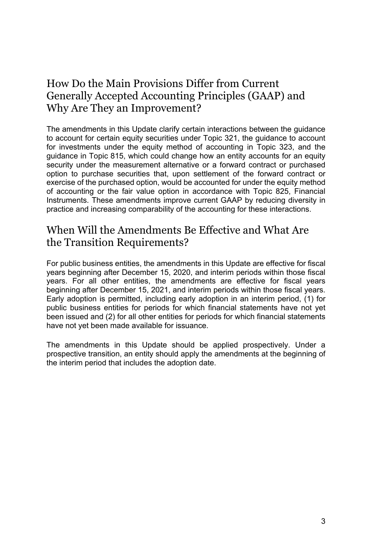# How Do the Main Provisions Differ from Current Generally Accepted Accounting Principles (GAAP) and Why Are They an Improvement?

The amendments in this Update clarify certain interactions between the guidance to account for certain equity securities under Topic 321, the guidance to account for investments under the equity method of accounting in Topic 323, and the guidance in Topic 815, which could change how an entity accounts for an equity security under the measurement alternative or a forward contract or purchased option to purchase securities that, upon settlement of the forward contract or exercise of the purchased option, would be accounted for under the equity method of accounting or the fair value option in accordance with Topic 825, Financial Instruments. These amendments improve current GAAP by reducing diversity in practice and increasing comparability of the accounting for these interactions.

# When Will the Amendments Be Effective and What Are the Transition Requirements?

For public business entities, the amendments in this Update are effective for fiscal years beginning after December 15, 2020, and interim periods within those fiscal years. For all other entities, the amendments are effective for fiscal years beginning after December 15, 2021, and interim periods within those fiscal years. Early adoption is permitted, including early adoption in an interim period, (1) for public business entities for periods for which financial statements have not yet been issued and (2) for all other entities for periods for which financial statements have not yet been made available for issuance.

The amendments in this Update should be applied prospectively. Under a prospective transition, an entity should apply the amendments at the beginning of the interim period that includes the adoption date.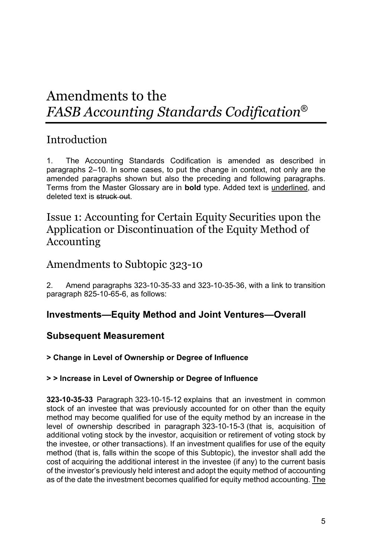# Amendments to the *FASB Accounting Standards Codification*®

# Introduction

1. The Accounting Standards Codification is amended as described in paragraphs 2–10. In some cases, to put the change in context, not only are the amended paragraphs shown but also the preceding and following paragraphs. Terms from the Master Glossary are in **bold** type. Added text is underlined, and deleted text is struck out.

## Issue 1: Accounting for Certain Equity Securities upon the Application or Discontinuation of the Equity Method of Accounting

### Amendments to Subtopic 323-10

2. Amend paragraphs 323-10-35-33 and 323-10-35-36, with a link to transition paragraph 825-10-65-6, as follows:

### **Investments—Equity Method and Joint Ventures—Overall**

### **Subsequent Measurement**

#### **> Change in Level of Ownership or Degree of Influence**

#### **> > Increase in Level of Ownership or Degree of Influence**

**323-10-35-33** Paragraph 323-10-15-12 explains that an investment in common stock of an investee that was previously accounted for on other than the equity method may become qualified for use of the equity method by an increase in the level of ownership described in paragraph 323-10-15-3 (that is, acquisition of additional voting stock by the investor, acquisition or retirement of voting stock by the investee, or other transactions). If an investment qualifies for use of the equity method (that is, falls within the scope of this Subtopic), the investor shall add the cost of acquiring the additional interest in the investee (if any) to the current basis of the investor's previously held interest and adopt the equity method of accounting as of the date the investment becomes qualified for equity method accounting. The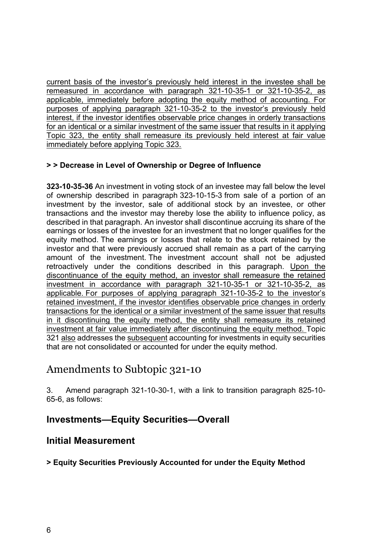current basis of the investor's previously held interest in the investee shall be remeasured in accordance with paragraph 321-10-35-1 or 321-10-35-2, as applicable, immediately before adopting the equity method of accounting. For purposes of applying paragraph 321-10-35-2 to the investor's previously held interest, if the investor identifies observable price changes in orderly transactions for an identical or a similar investment of the same issuer that results in it applying Topic 323, the entity shall remeasure its previously held interest at fair value immediately before applying Topic 323.

#### **> > Decrease in Level of Ownership or Degree of Influence**

**323-10-35-36** An investment in voting stock of an investee may fall below the level of ownership described in paragraph 323-10-15-3 from sale of a portion of an investment by the investor, sale of additional stock by an investee, or other transactions and the investor may thereby lose the ability to influence policy, as described in that paragraph. An investor shall discontinue accruing its share of the earnings or losses of the investee for an investment that no longer qualifies for the equity method. The earnings or losses that relate to the stock retained by the investor and that were previously accrued shall remain as a part of the carrying amount of the investment. The investment account shall not be adjusted retroactively under the conditions described in this paragraph. Upon the discontinuance of the equity method, an investor shall remeasure the retained investment in accordance with paragraph 321-10-35-1 or 321-10-35-2, as applicable. For purposes of applying paragraph 321-10-35-2 to the investor's retained investment, if the investor identifies observable price changes in orderly transactions for the identical or a similar investment of the same issuer that results in it discontinuing the equity method, the entity shall remeasure its retained investment at fair value immediately after discontinuing the equity method. Topic 321 also addresses the subsequent accounting for investments in equity securities that are not consolidated or accounted for under the equity method.

### Amendments to Subtopic 321-10

3. Amend paragraph 321-10-30-1, with a link to transition paragraph 825-10- 65-6, as follows:

#### **Investments—Equity Securities—Overall**

#### **Initial Measurement**

#### **> Equity Securities Previously Accounted for under the Equity Method**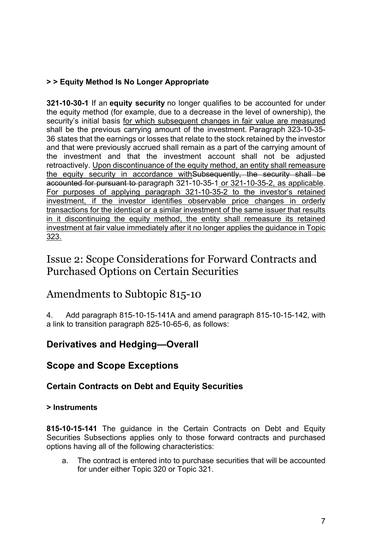#### **> > Equity Method Is No Longer Appropriate**

**321-10-30-1** If an **equity security** no longer qualifies to be accounted for under the equity method (for example, due to a decrease in the level of ownership), the security's initial basis for which subsequent changes in fair value are measured shall be the previous carrying amount of the investment. Paragraph 323-10-35- 36 states that the earnings or losses that relate to the stock retained by the investor and that were previously accrued shall remain as a part of the carrying amount of the investment and that the investment account shall not be adjusted retroactively. Upon discontinuance of the equity method, an entity shall remeasure the equity security in accordance withSubsequently, the security shall be accounted for pursuant to paragraph 321-10-35-1 or 321-10-35-2, as applicable. For purposes of applying paragraph 321-10-35-2 to the investor's retained investment, if the investor identifies observable price changes in orderly transactions for the identical or a similar investment of the same issuer that results in it discontinuing the equity method, the entity shall remeasure its retained investment at fair value immediately after it no longer applies the guidance in Topic 323.

# Issue 2: Scope Considerations for Forward Contracts and Purchased Options on Certain Securities

### Amendments to Subtopic 815-10

4. Add paragraph 815-10-15-141A and amend paragraph 815-10-15-142, with a link to transition paragraph 825-10-65-6, as follows:

### **Derivatives and Hedging—Overall**

### **Scope and Scope Exceptions**

#### **Certain Contracts on Debt and Equity Securities**

#### **> Instruments**

**815-10-15-141** The guidance in the Certain Contracts on Debt and Equity Securities Subsections applies only to those forward contracts and purchased options having all of the following characteristics:

a. The contract is entered into to purchase securities that will be accounted for under either Topic 320 or Topic 321.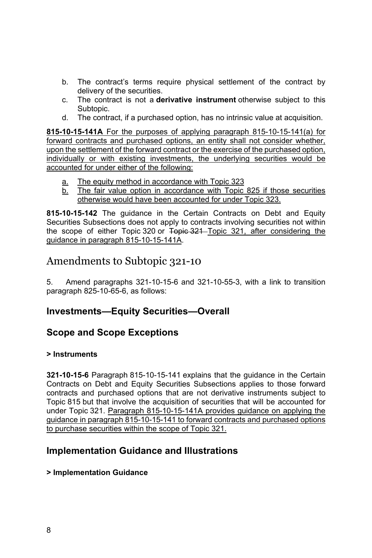- b. The contract's terms require physical settlement of the contract by delivery of the securities.
- c. The contract is not a **derivative instrument** otherwise subject to this Subtopic.
- d. The contract, if a purchased option, has no intrinsic value at acquisition.

**815-10-15-141A** For the purposes of applying paragraph 815-10-15-141(a) for forward contracts and purchased options, an entity shall not consider whether, upon the settlement of the forward contract or the exercise of the purchased option, individually or with existing investments, the underlying securities would be accounted for under either of the following:

- a. The equity method in accordance with Topic 323
- b. The fair value option in accordance with Topic 825 if those securities otherwise would have been accounted for under Topic 323.

**815-10-15-142** The guidance in the Certain Contracts on Debt and Equity Securities Subsections does not apply to contracts involving securities not within the scope of either Topic 320 or Topic 321 Topic 321, after considering the guidance in paragraph 815-10-15-141A.

### Amendments to Subtopic 321-10

5. Amend paragraphs 321-10-15-6 and 321-10-55-3, with a link to transition paragraph 825-10-65-6, as follows:

#### **Investments—Equity Securities—Overall**

#### **Scope and Scope Exceptions**

#### **> Instruments**

**321-10-15-6** Paragraph 815-10-15-141 explains that the guidance in the Certain Contracts on Debt and Equity Securities Subsections applies to those forward contracts and purchased options that are not derivative instruments subject to Topic 815 but that involve the acquisition of securities that will be accounted for under Topic 321. Paragraph 815-10-15-141A provides guidance on applying the guidance in paragraph 815-10-15-141 to forward contracts and purchased options to purchase securities within the scope of Topic 321.

### **Implementation Guidance and Illustrations**

#### **> Implementation Guidance**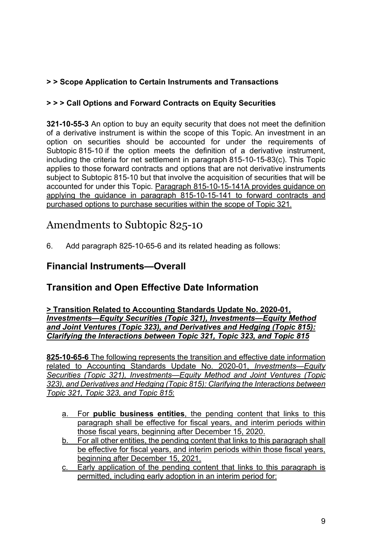#### **> > Scope Application to Certain Instruments and Transactions**

#### **> > > Call Options and Forward Contracts on Equity Securities**

**321-10-55-3** An option to buy an equity security that does not meet the definition of a derivative instrument is within the scope of this Topic. An investment in an option on securities should be accounted for under the requirements of Subtopic 815-10 if the option meets the definition of a derivative instrument, including the criteria for net settlement in paragraph 815-10-15-83(c). This Topic applies to those forward contracts and options that are not derivative instruments subject to Subtopic 815-10 but that involve the acquisition of securities that will be accounted for under this Topic. Paragraph 815-10-15-141A provides guidance on applying the guidance in paragraph 815-10-15-141 to forward contracts and purchased options to purchase securities within the scope of Topic 321.

# Amendments to Subtopic 825-10

6. Add paragraph 825-10-65-6 and its related heading as follows:

### **Financial Instruments—Overall**

### **Transition and Open Effective Date Information**

**> Transition Related to Accounting Standards Update No. 2020-01,**  *Investments—Equity Securities (Topic 321), Investments—Equity Method and Joint Ventures (Topic 323), and Derivatives and Hedging (Topic 815): Clarifying the Interactions between Topic 321, Topic 323, and Topic 815* 

**825-10-65-6** The following represents the transition and effective date information related to Accounting Standards Update No. 2020-01, *Investments*—*Equity Securities (Topic 321), Investments*—*Equity Method and Joint Ventures (Topic 323), and Derivatives and Hedging (Topic 815): Clarifying the Interactions between Topic 321, Topic 323, and Topic 815*:

- a. For **public business entities**, the pending content that links to this paragraph shall be effective for fiscal years, and interim periods within those fiscal years, beginning after December 15, 2020.
- b. For all other entities, the pending content that links to this paragraph shall be effective for fiscal years, and interim periods within those fiscal years, beginning after December 15, 2021.
- c. Early application of the pending content that links to this paragraph is permitted, including early adoption in an interim period for: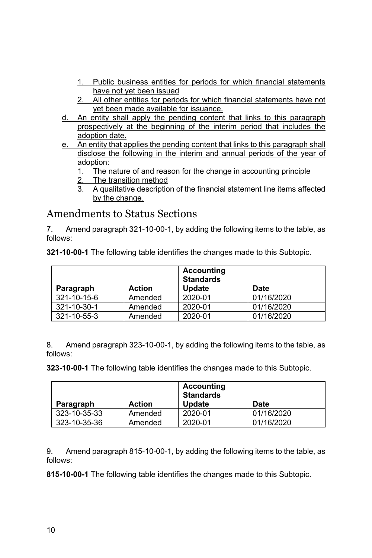- 1. Public business entities for periods for which financial statements have not yet been issued
- 2. All other entities for periods for which financial statements have not yet been made available for issuance.
- d. An entity shall apply the pending content that links to this paragraph prospectively at the beginning of the interim period that includes the adoption date.
- e. An entity that applies the pending content that links to this paragraph shall disclose the following in the interim and annual periods of the year of adoption:
	- 1. The nature of and reason for the change in accounting principle
	- 2. The transition method
	- 3. A qualitative description of the financial statement line items affected by the change.

# Amendments to Status Sections

7. Amend paragraph 321-10-00-1, by adding the following items to the table, as follows:

| Paragraph   | <b>Action</b> | Accounting<br><b>Standards</b><br><b>Update</b> | <b>Date</b> |
|-------------|---------------|-------------------------------------------------|-------------|
| 321-10-15-6 | Amended       | 2020-01                                         | 01/16/2020  |
| 321-10-30-1 | Amended       | 2020-01                                         | 01/16/2020  |
| 321-10-55-3 | Amended       | 2020-01                                         | 01/16/2020  |

**321-10-00-1** The following table identifies the changes made to this Subtopic.

8. Amend paragraph 323-10-00-1, by adding the following items to the table, as follows:

**323-10-00-1** The following table identifies the changes made to this Subtopic.

|              |               | <b>Accounting</b><br><b>Standards</b> |             |
|--------------|---------------|---------------------------------------|-------------|
| Paragraph    | <b>Action</b> | <b>Update</b>                         | <b>Date</b> |
| 323-10-35-33 | Amended       | 2020-01                               | 01/16/2020  |
| 323-10-35-36 | Amended       | 2020-01                               | 01/16/2020  |

9. Amend paragraph 815-10-00-1, by adding the following items to the table, as follows:

**815-10-00-1** The following table identifies the changes made to this Subtopic.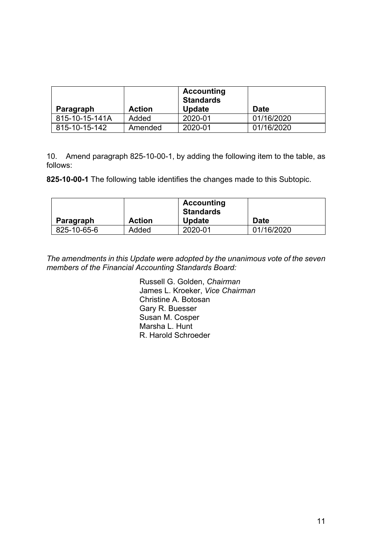| Paragraph      | <b>Action</b> | Accounting<br><b>Standards</b><br><b>Update</b> | Date       |
|----------------|---------------|-------------------------------------------------|------------|
| 815-10-15-141A | Added         | 2020-01                                         | 01/16/2020 |
| 815-10-15-142  | Amended       | 2020-01                                         | 01/16/2020 |

10. Amend paragraph 825-10-00-1, by adding the following item to the table, as follows:

**825-10-00-1** The following table identifies the changes made to this Subtopic.

|             |               | Accounting<br><b>Standards</b> |             |
|-------------|---------------|--------------------------------|-------------|
| Paragraph   | <b>Action</b> | <b>Update</b>                  | <b>Date</b> |
| 825-10-65-6 | Added         | 2020-01                        | 01/16/2020  |

*The amendments in this Update were adopted by the unanimous vote of the seven members of the Financial Accounting Standards Board:* 

> Russell G. Golden, *Chairman*  James L. Kroeker, *Vice Chairman* Christine A. Botosan Gary R. Buesser Susan M. Cosper Marsha L. Hunt R. Harold Schroeder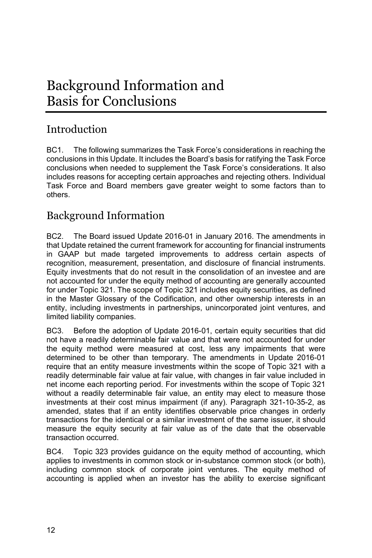# Background Information and Basis for Conclusions

# Introduction

BC1. The following summarizes the Task Force's considerations in reaching the conclusions in this Update. It includes the Board's basis for ratifying the Task Force conclusions when needed to supplement the Task Force's considerations. It also includes reasons for accepting certain approaches and rejecting others. Individual Task Force and Board members gave greater weight to some factors than to others.

# Background Information

BC2. The Board issued Update 2016-01 in January 2016. The amendments in that Update retained the current framework for accounting for financial instruments in GAAP but made targeted improvements to address certain aspects of recognition, measurement, presentation, and disclosure of financial instruments. Equity investments that do not result in the consolidation of an investee and are not accounted for under the equity method of accounting are generally accounted for under Topic 321. The scope of Topic 321 includes equity securities, as defined in the Master Glossary of the Codification, and other ownership interests in an entity, including investments in partnerships, unincorporated joint ventures, and limited liability companies.

BC3. Before the adoption of Update 2016-01, certain equity securities that did not have a readily determinable fair value and that were not accounted for under the equity method were measured at cost, less any impairments that were determined to be other than temporary. The amendments in Update 2016-01 require that an entity measure investments within the scope of Topic 321 with a readily determinable fair value at fair value, with changes in fair value included in net income each reporting period. For investments within the scope of Topic 321 without a readily determinable fair value, an entity may elect to measure those investments at their cost minus impairment (if any). Paragraph 321-10-35-2, as amended, states that if an entity identifies observable price changes in orderly transactions for the identical or a similar investment of the same issuer, it should measure the equity security at fair value as of the date that the observable transaction occurred.

BC4. Topic 323 provides guidance on the equity method of accounting, which applies to investments in common stock or in-substance common stock (or both), including common stock of corporate joint ventures. The equity method of accounting is applied when an investor has the ability to exercise significant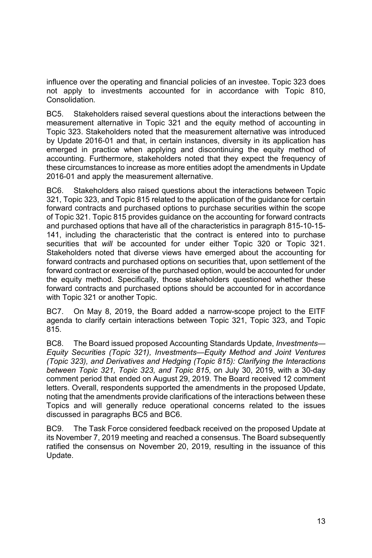influence over the operating and financial policies of an investee. Topic 323 does not apply to investments accounted for in accordance with Topic 810, Consolidation*.* 

BC5. Stakeholders raised several questions about the interactions between the measurement alternative in Topic 321 and the equity method of accounting in Topic 323. Stakeholders noted that the measurement alternative was introduced by Update 2016-01 and that, in certain instances, diversity in its application has emerged in practice when applying and discontinuing the equity method of accounting. Furthermore, stakeholders noted that they expect the frequency of these circumstances to increase as more entities adopt the amendments in Update 2016-01 and apply the measurement alternative.

BC6. Stakeholders also raised questions about the interactions between Topic 321, Topic 323, and Topic 815 related to the application of the guidance for certain forward contracts and purchased options to purchase securities within the scope of Topic 321. Topic 815 provides guidance on the accounting for forward contracts and purchased options that have all of the characteristics in paragraph 815-10-15- 141, including the characteristic that the contract is entered into to purchase securities that *will* be accounted for under either Topic 320 or Topic 321. Stakeholders noted that diverse views have emerged about the accounting for forward contracts and purchased options on securities that, upon settlement of the forward contract or exercise of the purchased option, would be accounted for under the equity method. Specifically, those stakeholders questioned whether these forward contracts and purchased options should be accounted for in accordance with Topic 321 or another Topic.

BC7. On May 8, 2019, the Board added a narrow-scope project to the EITF agenda to clarify certain interactions between Topic 321, Topic 323, and Topic 815.

BC8. The Board issued proposed Accounting Standards Update, *Investments— Equity Securities (Topic 321), Investments—Equity Method and Joint Ventures (Topic 323), and Derivatives and Hedging (Topic 815): Clarifying the Interactions between Topic 321, Topic 323, and Topic 815*, on July 30, 2019, with a 30-day comment period that ended on August 29, 2019. The Board received 12 comment letters. Overall, respondents supported the amendments in the proposed Update, noting that the amendments provide clarifications of the interactions between these Topics and will generally reduce operational concerns related to the issues discussed in paragraphs BC5 and BC6.

BC9. The Task Force considered feedback received on the proposed Update at its November 7, 2019 meeting and reached a consensus. The Board subsequently ratified the consensus on November 20, 2019, resulting in the issuance of this Update.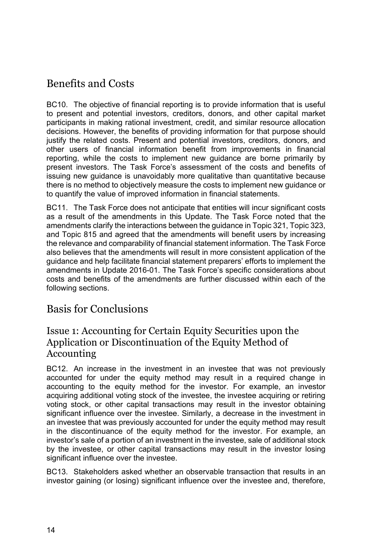# Benefits and Costs

BC10. The objective of financial reporting is to provide information that is useful to present and potential investors, creditors, donors, and other capital market participants in making rational investment, credit, and similar resource allocation decisions. However, the benefits of providing information for that purpose should justify the related costs. Present and potential investors, creditors, donors, and other users of financial information benefit from improvements in financial reporting, while the costs to implement new guidance are borne primarily by present investors. The Task Force's assessment of the costs and benefits of issuing new guidance is unavoidably more qualitative than quantitative because there is no method to objectively measure the costs to implement new guidance or to quantify the value of improved information in financial statements.

BC11. The Task Force does not anticipate that entities will incur significant costs as a result of the amendments in this Update. The Task Force noted that the amendments clarify the interactions between the guidance in Topic 321, Topic 323, and Topic 815 and agreed that the amendments will benefit users by increasing the relevance and comparability of financial statement information. The Task Force also believes that the amendments will result in more consistent application of the guidance and help facilitate financial statement preparers' efforts to implement the amendments in Update 2016-01. The Task Force's specific considerations about costs and benefits of the amendments are further discussed within each of the following sections.

### Basis for Conclusions

### Issue 1: Accounting for Certain Equity Securities upon the Application or Discontinuation of the Equity Method of Accounting

BC12. An increase in the investment in an investee that was not previously accounted for under the equity method may result in a required change in accounting to the equity method for the investor. For example, an investor acquiring additional voting stock of the investee, the investee acquiring or retiring voting stock, or other capital transactions may result in the investor obtaining significant influence over the investee. Similarly, a decrease in the investment in an investee that was previously accounted for under the equity method may result in the discontinuance of the equity method for the investor. For example, an investor's sale of a portion of an investment in the investee, sale of additional stock by the investee, or other capital transactions may result in the investor losing significant influence over the investee.

BC13. Stakeholders asked whether an observable transaction that results in an investor gaining (or losing) significant influence over the investee and, therefore,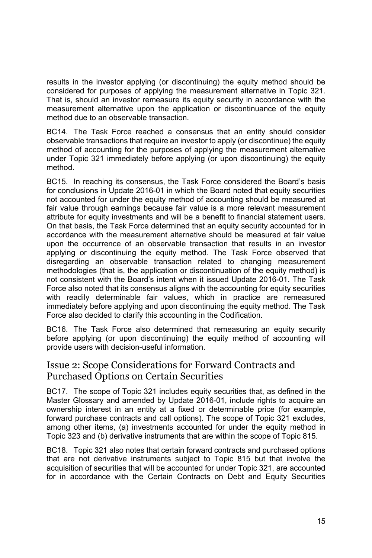results in the investor applying (or discontinuing) the equity method should be considered for purposes of applying the measurement alternative in Topic 321. That is, should an investor remeasure its equity security in accordance with the measurement alternative upon the application or discontinuance of the equity method due to an observable transaction.

BC14. The Task Force reached a consensus that an entity should consider observable transactions that require an investor to apply (or discontinue) the equity method of accounting for the purposes of applying the measurement alternative under Topic 321 immediately before applying (or upon discontinuing) the equity method.

BC15. In reaching its consensus, the Task Force considered the Board's basis for conclusions in Update 2016-01 in which the Board noted that equity securities not accounted for under the equity method of accounting should be measured at fair value through earnings because fair value is a more relevant measurement attribute for equity investments and will be a benefit to financial statement users. On that basis, the Task Force determined that an equity security accounted for in accordance with the measurement alternative should be measured at fair value upon the occurrence of an observable transaction that results in an investor applying or discontinuing the equity method. The Task Force observed that disregarding an observable transaction related to changing measurement methodologies (that is, the application or discontinuation of the equity method) is not consistent with the Board's intent when it issued Update 2016-01. The Task Force also noted that its consensus aligns with the accounting for equity securities with readily determinable fair values, which in practice are remeasured immediately before applying and upon discontinuing the equity method. The Task Force also decided to clarify this accounting in the Codification.

BC16. The Task Force also determined that remeasuring an equity security before applying (or upon discontinuing) the equity method of accounting will provide users with decision-useful information.

### Issue 2: Scope Considerations for Forward Contracts and Purchased Options on Certain Securities

BC17. The scope of Topic 321 includes equity securities that, as defined in the Master Glossary and amended by Update 2016-01, include rights to acquire an ownership interest in an entity at a fixed or determinable price (for example, forward purchase contracts and call options). The scope of Topic 321 excludes, among other items, (a) investments accounted for under the equity method in Topic 323 and (b) derivative instruments that are within the scope of Topic 815.

BC18. Topic 321 also notes that certain forward contracts and purchased options that are not derivative instruments subject to Topic 815 but that involve the acquisition of securities that will be accounted for under Topic 321, are accounted for in accordance with the Certain Contracts on Debt and Equity Securities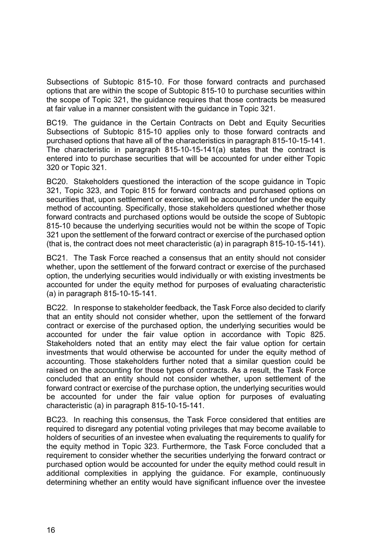Subsections of Subtopic 815-10. For those forward contracts and purchased options that are within the scope of Subtopic 815-10 to purchase securities within the scope of Topic 321, the guidance requires that those contracts be measured at fair value in a manner consistent with the guidance in Topic 321.

BC19. The guidance in the Certain Contracts on Debt and Equity Securities Subsections of Subtopic 815-10 applies only to those forward contracts and purchased options that have all of the characteristics in paragraph 815-10-15-141. The characteristic in paragraph 815-10-15-141(a) states that the contract is entered into to purchase securities that will be accounted for under either Topic 320 or Topic 321.

BC20. Stakeholders questioned the interaction of the scope guidance in Topic 321, Topic 323, and Topic 815 for forward contracts and purchased options on securities that, upon settlement or exercise, will be accounted for under the equity method of accounting. Specifically, those stakeholders questioned whether those forward contracts and purchased options would be outside the scope of Subtopic 815-10 because the underlying securities would not be within the scope of Topic 321 upon the settlement of the forward contract or exercise of the purchased option (that is, the contract does not meet characteristic (a) in paragraph 815-10-15-141).

BC21. The Task Force reached a consensus that an entity should not consider whether, upon the settlement of the forward contract or exercise of the purchased option, the underlying securities would individually or with existing investments be accounted for under the equity method for purposes of evaluating characteristic (a) in paragraph 815-10-15-141.

BC22. In response to stakeholder feedback, the Task Force also decided to clarify that an entity should not consider whether, upon the settlement of the forward contract or exercise of the purchased option, the underlying securities would be accounted for under the fair value option in accordance with Topic 825. Stakeholders noted that an entity may elect the fair value option for certain investments that would otherwise be accounted for under the equity method of accounting. Those stakeholders further noted that a similar question could be raised on the accounting for those types of contracts. As a result, the Task Force concluded that an entity should not consider whether, upon settlement of the forward contract or exercise of the purchase option, the underlying securities would be accounted for under the fair value option for purposes of evaluating characteristic (a) in paragraph 815-10-15-141.

BC23. In reaching this consensus, the Task Force considered that entities are required to disregard any potential voting privileges that may become available to holders of securities of an investee when evaluating the requirements to qualify for the equity method in Topic 323. Furthermore, the Task Force concluded that a requirement to consider whether the securities underlying the forward contract or purchased option would be accounted for under the equity method could result in additional complexities in applying the guidance. For example, continuously determining whether an entity would have significant influence over the investee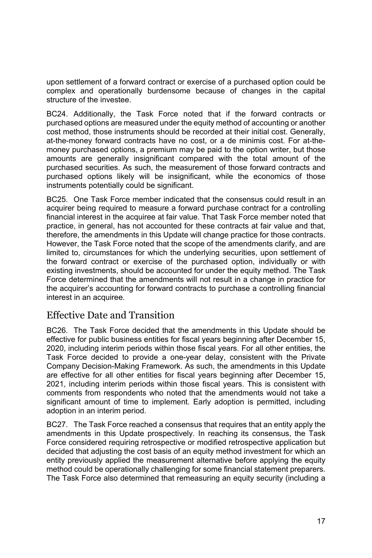upon settlement of a forward contract or exercise of a purchased option could be complex and operationally burdensome because of changes in the capital structure of the investee.

BC24. Additionally, the Task Force noted that if the forward contracts or purchased options are measured under the equity method of accounting or another cost method, those instruments should be recorded at their initial cost. Generally, at-the-money forward contracts have no cost, or a de minimis cost. For at-themoney purchased options, a premium may be paid to the option writer, but those amounts are generally insignificant compared with the total amount of the purchased securities. As such, the measurement of those forward contracts and purchased options likely will be insignificant, while the economics of those instruments potentially could be significant.

BC25. One Task Force member indicated that the consensus could result in an acquirer being required to measure a forward purchase contract for a controlling financial interest in the acquiree at fair value. That Task Force member noted that practice, in general, has not accounted for these contracts at fair value and that, therefore, the amendments in this Update will change practice for those contracts. However, the Task Force noted that the scope of the amendments clarify, and are limited to, circumstances for which the underlying securities, upon settlement of the forward contract or exercise of the purchased option, individually or with existing investments, should be accounted for under the equity method. The Task Force determined that the amendments will not result in a change in practice for the acquirer's accounting for forward contracts to purchase a controlling financial interest in an acquiree.

### Effective Date and Transition

BC26. The Task Force decided that the amendments in this Update should be effective for public business entities for fiscal years beginning after December 15, 2020, including interim periods within those fiscal years. For all other entities, the Task Force decided to provide a one-year delay, consistent with the Private Company Decision-Making Framework. As such, the amendments in this Update are effective for all other entities for fiscal years beginning after December 15, 2021, including interim periods within those fiscal years. This is consistent with comments from respondents who noted that the amendments would not take a significant amount of time to implement. Early adoption is permitted, including adoption in an interim period.

BC27. The Task Force reached a consensus that requires that an entity apply the amendments in this Update prospectively. In reaching its consensus, the Task Force considered requiring retrospective or modified retrospective application but decided that adjusting the cost basis of an equity method investment for which an entity previously applied the measurement alternative before applying the equity method could be operationally challenging for some financial statement preparers. The Task Force also determined that remeasuring an equity security (including a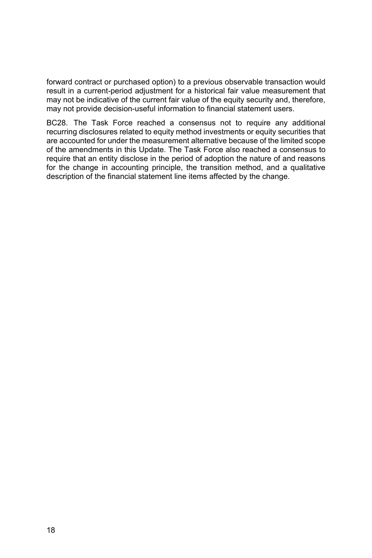forward contract or purchased option) to a previous observable transaction would result in a current-period adjustment for a historical fair value measurement that may not be indicative of the current fair value of the equity security and, therefore, may not provide decision-useful information to financial statement users.

BC28. The Task Force reached a consensus not to require any additional recurring disclosures related to equity method investments or equity securities that are accounted for under the measurement alternative because of the limited scope of the amendments in this Update. The Task Force also reached a consensus to require that an entity disclose in the period of adoption the nature of and reasons for the change in accounting principle, the transition method, and a qualitative description of the financial statement line items affected by the change.